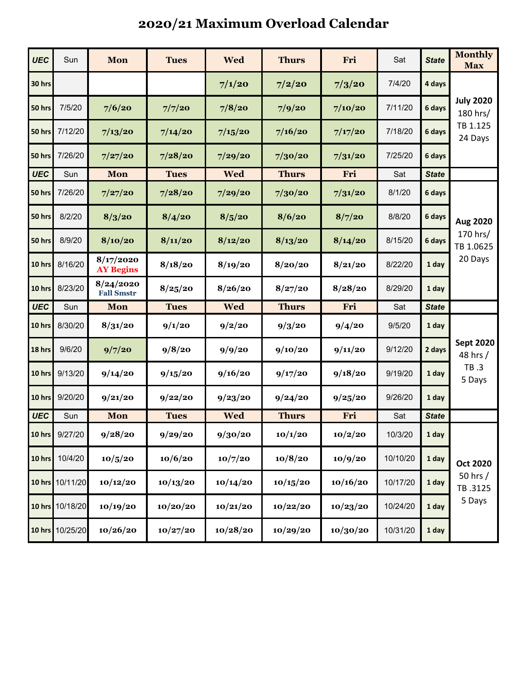## **2020/21 Maximum Overload Calendar**

| <b>UEC</b> | Sun             | Mon                            | <b>Tues</b> | <b>Wed</b> | <b>Thurs</b> | Fri      | Sat      | <b>State</b> | <b>Monthly</b><br><b>Max</b>                        |
|------------|-----------------|--------------------------------|-------------|------------|--------------|----------|----------|--------------|-----------------------------------------------------|
| 30 hrs     |                 |                                |             | 7/1/20     | 7/2/20       | 7/3/20   | 7/4/20   | 4 days       | <b>July 2020</b><br>180 hrs/<br>TB 1.125<br>24 Days |
| 50 hrs     | 7/5/20          | 7/6/20                         | 7/7/20      | 7/8/20     | 7/9/20       | 7/10/20  | 7/11/20  | 6 days       |                                                     |
| 50 hrs     | 7/12/20         | 7/13/20                        | 7/14/20     | 7/15/20    | 7/16/20      | 7/17/20  | 7/18/20  | 6 days       |                                                     |
| 50 hrs     | 7/26/20         | 7/27/20                        | 7/28/20     | 7/29/20    | 7/30/20      | 7/31/20  | 7/25/20  | 6 days       |                                                     |
| <b>UEC</b> | Sun             | Mon                            | <b>Tues</b> | <b>Wed</b> | <b>Thurs</b> | Fri      | Sat      | <b>State</b> |                                                     |
| 50 hrs     | 7/26/20         | 7/27/20                        | 7/28/20     | 7/29/20    | 7/30/20      | 7/31/20  | 8/1/20   | 6 days       | Aug 2020<br>170 hrs/<br>TB 1.0625<br>20 Days        |
| 50 hrs     | 8/2/20          | 8/3/20                         | 8/4/20      | 8/5/20     | 8/6/20       | 8/7/20   | 8/8/20   | 6 days       |                                                     |
| 50 hrs     | 8/9/20          | 8/10/20                        | 8/11/20     | 8/12/20    | 8/13/20      | 8/14/20  | 8/15/20  | 6 days       |                                                     |
| 10 hrs     | 8/16/20         | 8/17/2020<br><b>AY Begins</b>  | 8/18/20     | 8/19/20    | 8/20/20      | 8/21/20  | 8/22/20  | 1 day        |                                                     |
| 10 hrs     | 8/23/20         | 8/24/2020<br><b>Fall Smstr</b> | 8/25/20     | 8/26/20    | 8/27/20      | 8/28/20  | 8/29/20  | 1 day        |                                                     |
| <b>UEC</b> | Sun             | Mon                            | <b>Tues</b> | <b>Wed</b> | <b>Thurs</b> | Fri      | Sat      | <b>State</b> |                                                     |
| 10 hrs     | 8/30/20         | 8/31/20                        | 9/1/20      | 9/2/20     | 9/3/20       | 9/4/20   | 9/5/20   | 1 day        | <b>Sept 2020</b><br>48 hrs /<br>TB .3<br>5 Days     |
| 18 hrs     | 9/6/20          | 9/7/20                         | 9/8/20      | 9/9/20     | 9/10/20      | 9/11/20  | 9/12/20  | 2 days       |                                                     |
| 10 hrs     | 9/13/20         | 9/14/20                        | 9/15/20     | 9/16/20    | 9/17/20      | 9/18/20  | 9/19/20  | 1 day        |                                                     |
| 10 hrs     | 9/20/20         | 9/21/20                        | 9/22/20     | 9/23/20    | 9/24/20      | 9/25/20  | 9/26/20  | 1 day        |                                                     |
| <b>UEC</b> | Sun             | Mon                            | <b>Tues</b> | <b>Wed</b> | <b>Thurs</b> | Fri      | Sat      | <b>State</b> |                                                     |
| 10 hrs     | 9/27/20         | 9/28/20                        | 9/29/20     | 9/30/20    | 10/1/20      | 10/2/20  | 10/3/20  | 1 day        | <b>Oct 2020</b><br>50 hrs /<br>TB.3125<br>5 Days    |
| 10 hrs     | 10/4/20         | 10/5/20                        | 10/6/20     | 10/7/20    | 10/8/20      | 10/9/20  | 10/10/20 | 1 day        |                                                     |
|            | 10 hrs 10/11/20 | 10/12/20                       | 10/13/20    | 10/14/20   | 10/15/20     | 10/16/20 | 10/17/20 | 1 day        |                                                     |
|            | 10 hrs 10/18/20 | 10/19/20                       | 10/20/20    | 10/21/20   | 10/22/20     | 10/23/20 | 10/24/20 | 1 day        |                                                     |
| 10 hrs     | 10/25/20        | 10/26/20                       | 10/27/20    | 10/28/20   | 10/29/20     | 10/30/20 | 10/31/20 | 1 day        |                                                     |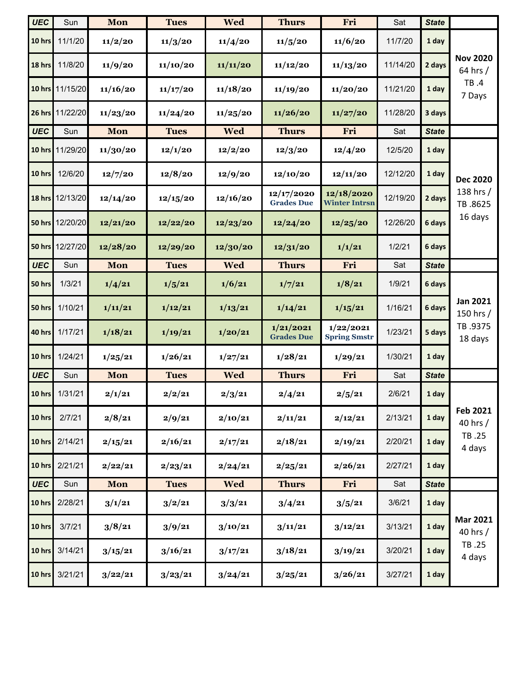| <b>UEC</b>    | Sun             | Mon      | <b>Tues</b> | <b>Wed</b> | <b>Thurs</b>                    | Fri                                | Sat      | <b>State</b> |                                                    |
|---------------|-----------------|----------|-------------|------------|---------------------------------|------------------------------------|----------|--------------|----------------------------------------------------|
| 10 hrs        | 11/1/20         | 11/2/20  | 11/3/20     | 11/4/20    | 11/5/20                         | 11/6/20                            | 11/7/20  | 1 day        | <b>Nov 2020</b><br>64 hrs /<br>TB .4<br>7 Days     |
| 18 hrs        | 11/8/20         | 11/9/20  | 11/10/20    | 11/11/20   | 11/12/20                        | 11/13/20                           | 11/14/20 | 2 days       |                                                    |
| 10 hrs        | 11/15/20        | 11/16/20 | 11/17/20    | 11/18/20   | 11/19/20                        | 11/20/20                           | 11/21/20 | 1 day        |                                                    |
|               | 26 hrs 11/22/20 | 11/23/20 | 11/24/20    | 11/25/20   | 11/26/20                        | 11/27/20                           | 11/28/20 | 3 days       |                                                    |
| <b>UEC</b>    | Sun             | Mon      | <b>Tues</b> | Wed        | <b>Thurs</b>                    | Fri                                | Sat      | <b>State</b> |                                                    |
| 10 hrs        | 11/29/20        | 11/30/20 | 12/1/20     | 12/2/20    | 12/3/20                         | 12/4/20                            | 12/5/20  | 1 day        | <b>Dec 2020</b><br>138 hrs /<br>TB.8625<br>16 days |
| 10 hrs        | 12/6/20         | 12/7/20  | 12/8/20     | 12/9/20    | 12/10/20                        | 12/11/20                           | 12/12/20 | 1 day        |                                                    |
| 18 hrs        | 12/13/20        | 12/14/20 | 12/15/20    | 12/16/20   | 12/17/2020<br><b>Grades Due</b> | 12/18/2020<br><b>Winter Intrsn</b> | 12/19/20 | 2 days       |                                                    |
|               | 50 hrs 12/20/20 | 12/21/20 | 12/22/20    | 12/23/20   | 12/24/20                        | 12/25/20                           | 12/26/20 | 6 days       |                                                    |
|               | 50 hrs 12/27/20 | 12/28/20 | 12/29/20    | 12/30/20   | 12/31/20                        | 1/1/21                             | 1/2/21   | 6 days       |                                                    |
| <b>UEC</b>    | Sun             | Mon      | <b>Tues</b> | <b>Wed</b> | <b>Thurs</b>                    | Fri                                | Sat      | <b>State</b> |                                                    |
| 50 hrs        | 1/3/21          | 1/4/21   | 1/5/21      | 1/6/21     | 1/7/21                          | 1/8/21                             | 1/9/21   | 6 days       | <b>Jan 2021</b><br>150 hrs /<br>TB.9375<br>18 days |
| 50 hrs        | 1/10/21         | 1/11/21  | 1/12/21     | 1/13/21    | 1/14/21                         | 1/15/21                            | 1/16/21  | 6 days       |                                                    |
| 40 hrs        | 1/17/21         | 1/18/21  | 1/19/21     | 1/20/21    | 1/21/2021<br><b>Grades Due</b>  | 1/22/2021<br><b>Spring Smstr</b>   | 1/23/21  | 5 days       |                                                    |
| 10 hrs        | 1/24/21         | 1/25/21  | 1/26/21     | 1/27/21    | 1/28/21                         | 1/29/21                            | 1/30/21  | 1 day        |                                                    |
| <b>UEC</b>    | Sun             | Mon      | <b>Tues</b> | <b>Wed</b> | <b>Thurs</b>                    | Fri                                | Sat      | <b>State</b> |                                                    |
| 10 hrs        | 1/31/21         | 2/1/21   | 2/2/21      | 2/3/21     | 2/4/21                          | 2/5/21                             | 2/6/21   | 1 day        | Feb 2021<br>40 hrs /<br>TB.25<br>4 days            |
| 10 hrs        | 2/7/21          | 2/8/21   | 2/9/21      | 2/10/21    | 2/11/21                         | 2/12/21                            | 2/13/21  | 1 day        |                                                    |
| 10 hrs        | 2/14/21         | 2/15/21  | 2/16/21     | 2/17/21    | 2/18/21                         | 2/19/21                            | 2/20/21  | 1 day        |                                                    |
| 10 hrs        | 2/21/21         | 2/22/21  | 2/23/21     | 2/24/21    | 2/25/21                         | 2/26/21                            | 2/27/21  | 1 day        |                                                    |
| <b>UEC</b>    | Sun             | Mon      | <b>Tues</b> | <b>Wed</b> | <b>Thurs</b>                    | Fri                                | Sat      | <b>State</b> |                                                    |
| 10 hrs        | 2/28/21         | 3/1/21   | 3/2/21      | 3/3/21     | 3/4/21                          | 3/5/21                             | 3/6/21   | 1 day        | <b>Mar 2021</b><br>40 hrs /<br>TB.25<br>4 days     |
| 10 hrs        | 3/7/21          | 3/8/21   | 3/9/21      | 3/10/21    | 3/11/21                         | 3/12/21                            | 3/13/21  | 1 day        |                                                    |
| 10 hrs        | 3/14/21         | 3/15/21  | 3/16/21     | 3/17/21    | 3/18/21                         | 3/19/21                            | 3/20/21  | 1 day        |                                                    |
| <b>10 hrs</b> | 3/21/21         | 3/22/21  | 3/23/21     | 3/24/21    | 3/25/21                         | 3/26/21                            | 3/27/21  | 1 day        |                                                    |